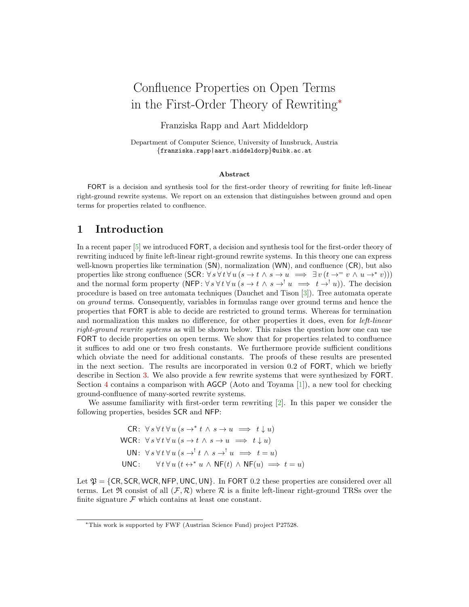# Confluence Properties on Open Terms in the First-Order Theory of Rewriting<sup>∗</sup>

Franziska Rapp and Aart Middeldorp

Department of Computer Science, University of Innsbruck, Austria {franziska.rapp|aart.middeldorp}@uibk.ac.at

### Abstract

FORT is a decision and synthesis tool for the first-order theory of rewriting for finite left-linear right-ground rewrite systems. We report on an extension that distinguishes between ground and open terms for properties related to confluence.

### 1 Introduction

In a recent paper [\[5\]](#page-4-0) we introduced FORT, a decision and synthesis tool for the first-order theory of rewriting induced by finite left-linear right-ground rewrite systems. In this theory one can express well-known properties like termination (SN), normalization (WN), and confluence (CR), but also properties like strong confluence  $(SCR: \forall s \forall t \forall u (s \rightarrow t \land s \rightarrow u \implies \exists v (t \rightarrow^= v \land u \rightarrow^* v)))$ and the normal form property (NFP:  $\forall s \forall t \forall u (s \rightarrow t \land s \rightarrow u \implies t \rightarrow u)$ ). The decision procedure is based on tree automata techniques (Dauchet and Tison [\[3\]](#page-4-1)). Tree automata operate on ground terms. Consequently, variables in formulas range over ground terms and hence the properties that FORT is able to decide are restricted to ground terms. Whereas for termination and normalization this makes no difference, for other properties it does, even for *left-linear* right-ground rewrite systems as will be shown below. This raises the question how one can use FORT to decide properties on open terms. We show that for properties related to confluence it suffices to add one or two fresh constants. We furthermore provide sufficient conditions which obviate the need for additional constants. The proofs of these results are presented in the next section. The results are incorporated in version 0.2 of FORT, which we briefly describe in Section [3.](#page-3-0) We also provide a few rewrite systems that were synthesized by FORT. Section [4](#page-4-2) contains a comparison with AGCP (Aoto and Toyama [\[1\]](#page-4-3)), a new tool for checking ground-confluence of many-sorted rewrite systems.

We assume familiarity with first-order term rewriting [\[2\]](#page-4-4). In this paper we consider the following properties, besides SCR and NFP:

CR: 
$$
\forall s \forall t \forall u (s \rightarrow^* t \land s \rightarrow u \implies t \downarrow u)
$$
  
\nWCR:  $\forall s \forall t \forall u (s \rightarrow t \land s \rightarrow u \implies t \downarrow u)$   
\nUN:  $\forall s \forall t \forall u (s \rightarrow^! t \land s \rightarrow^! u \implies t = u)$   
\nUNC:  $\forall t \forall u (t \leftrightarrow^* u \land NF(t) \land NF(u) \implies t = u)$ 

Let  $\mathfrak{P} = \{CR, SCR, WCR, NFP, UNC, UN\}$ . In FORT 0.2 these properties are considered over all terms. Let  $\Re$  consist of all  $(\mathcal{F}, \mathcal{R})$  where  $\mathcal{R}$  is a finite left-linear right-ground TRSs over the finite signature  $\mathcal F$  which contains at least one constant.

<sup>∗</sup>This work is supported by FWF (Austrian Science Fund) project P27528.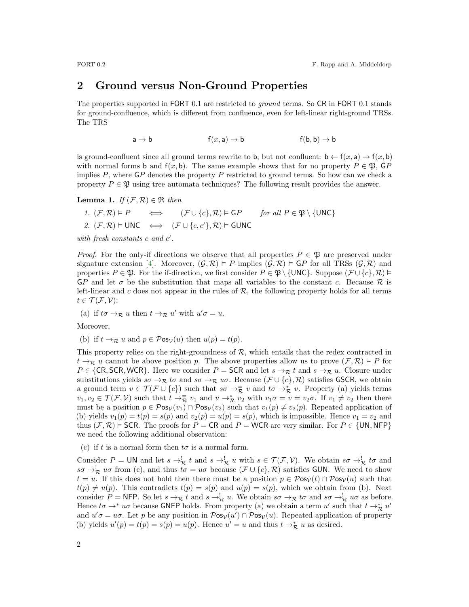### 2 Ground versus Non-Ground Properties

The properties supported in FORT 0.1 are restricted to *ground* terms. So CR in FORT 0.1 stands for ground-confluence, which is different from confluence, even for left-linear right-ground TRSs. The TRS

$$
a \to b \qquad f(x, a) \to b \qquad f(b, b) \to b
$$

is ground-confluent since all ground terms rewrite to b, but not confluent:  $b \leftarrow f(x, a) \rightarrow f(x, b)$ with normal forms b and  $f(x, b)$ . The same example shows that for no property  $P \in \mathfrak{P}$ , GP implies  $P$ , where  $\overline{GP}$  denotes the property  $P$  restricted to ground terms. So how can we check a property  $P \in \mathfrak{P}$  using tree automata techniques? The following result provides the answer.

<span id="page-1-0"></span>**Lemma 1.** If  $(\mathcal{F}, \mathcal{R}) \in \mathfrak{R}$  then

1. 
$$
(\mathcal{F}, \mathcal{R}) \models P \iff (\mathcal{F} \cup \{c\}, \mathcal{R}) \models \mathsf{G}P \quad \text{for all } P \in \mathfrak{P} \setminus \{\text{UNC}\}
$$
  
2.  $(\mathcal{F}, \mathcal{R}) \models \text{UNC} \iff (\mathcal{F} \cup \{c, c'\}, \mathcal{R}) \models \text{GUNC}$ 

with fresh constants  $c$  and  $c'$ .

*Proof.* For the only-if directions we observe that all properties  $P \in \mathfrak{P}$  are preserved under signature extension [\[4\]](#page-4-5). Moreover,  $(\mathcal{G}, \mathcal{R}) \models P$  implies  $(\mathcal{G}, \mathcal{R}) \models \mathsf{G}P$  for all TRSs  $(\mathcal{G}, \mathcal{R})$  and properties  $P \in \mathfrak{P}$ . For the if-direction, we first consider  $P \in \mathfrak{P} \setminus \{ \text{UNC} \}$ . Suppose  $(\mathcal{F} \cup \{c\}, \mathcal{R}) \models$  $GP$  and let  $\sigma$  be the substitution that maps all variables to the constant c. Because  $\mathcal R$  is left-linear and c does not appear in the rules of  $R$ , the following property holds for all terms  $t \in \mathcal{T}(\mathcal{F}, \mathcal{V})$ :

(a) if  $t\sigma \rightarrow_{\mathcal{R}} u$  then  $t \rightarrow_{\mathcal{R}} u'$  with  $u' \sigma = u$ .

Moreover,

(b) if 
$$
t \to_{\mathcal{R}} u
$$
 and  $p \in \mathcal{P}os_{\mathcal{V}}(u)$  then  $u(p) = t(p)$ .

This property relies on the right-groundness of  $R$ , which entails that the redex contracted in  $t \to \mathcal{R}$  u cannot be above position p. The above properties allow us to prove  $(\mathcal{F}, \mathcal{R}) \models P$  for  $P \in \{CR, SCR, WCR\}$ . Here we consider  $P = SCR$  and let  $s \rightarrow_{\mathcal{R}} t$  and  $s \rightarrow_{\mathcal{R}} u$ . Closure under substitutions yields  $s\sigma \to_R t\sigma$  and  $s\sigma \to_R u\sigma$ . Because  $(\mathcal{F} \cup \{c\}, \mathcal{R})$  satisfies GSCR, we obtain a ground term  $v \in \mathcal{T}(\mathcal{F} \cup \{c\})$  such that  $s\sigma \to \overline{\mathcal{R}} v$  and  $t\sigma \to \mathcal{R} v$ . Property (a) yields terms  $v_1, v_2 \in \mathcal{T}(\mathcal{F}, \mathcal{V})$  such that  $t \to \overline{\mathcal{R}} v_1$  and  $u \to \mathcal{R} v_2$  with  $v_1 \sigma = v = v_2 \sigma$ . If  $v_1 \neq v_2$  then there must be a position  $p \in \mathcal{P}$ os $\mathcal{V}(v_1) \cap \mathcal{P}$ os $\mathcal{V}(v_2)$  such that  $v_1(p) \neq v_2(p)$ . Repeated application of (b) yields  $v_1(p) = t(p) = s(p)$  and  $v_2(p) = u(p) = s(p)$ , which is impossible. Hence  $v_1 = v_2$  and thus  $(\mathcal{F}, \mathcal{R})$  = SCR. The proofs for  $P = \mathsf{CR}$  and  $P = \mathsf{WCR}$  are very similar. For  $P \in \{\mathsf{UN}, \mathsf{NFP}\}\$ we need the following additional observation:

(c) if t is a normal form then  $t\sigma$  is a normal form.

Consider  $P = UN$  and let  $s \to_{\mathcal{R}}^! t$  and  $s \to_{\mathcal{R}}^! u$  with  $s \in \mathcal{T}(\mathcal{F}, \mathcal{V})$ . We obtain  $s\sigma \to_{\mathcal{R}}^! t\sigma$  and  $s\sigma \to_{\mathcal{R}}^{\mathcal{R}} u\sigma$  from (c), and thus  $t\sigma = u\sigma$  because  $(\mathcal{F} \cup \{c\}, \mathcal{R})$  satisfies GUN. We need to show  $t = u$ . If this does not hold then there must be a position  $p \in \mathcal{P}$ os<sub>V</sub> $(t) \cap \mathcal{P}$ os<sub>V</sub> $(u)$  such that  $t(p) \neq u(p)$ . This contradicts  $t(p) = s(p)$  and  $u(p) = s(p)$ , which we obtain from (b). Next consider  $P = \text{NFP}$ . So let  $s \to_{\mathcal{R}} t$  and  $s \to_{\mathcal{R}}^{\mathcal{R}} u$ . We obtain  $s\sigma \to_{\mathcal{R}} t\sigma$  and  $s\sigma \to_{\mathcal{R}}^{\mathcal{R}} u\sigma$  as before. Hence  $t\sigma \to^* u\sigma$  because GNFP holds. From property (a) we obtain a term u' such that  $t \to^*_{\mathcal{R}} u'$ and  $u' \sigma = u \sigma$ . Let p be any position in  $\mathcal{P} \infty \mathcal{V}(u') \cap \mathcal{P} \infty \mathcal{V}(u)$ . Repeated application of property (b) yields  $u'(p) = t(p) = s(p) = u(p)$ . Hence  $u' = u$  and thus  $t \to_{\mathcal{R}}^* u$  as desired.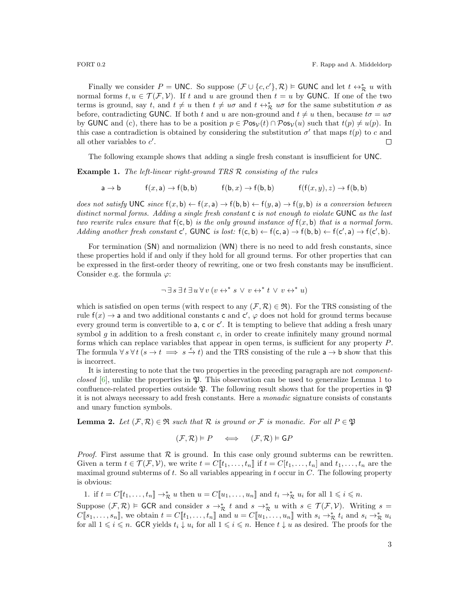Finally we consider  $P = \text{UNC}$ . So suppose  $(\mathcal{F} \cup \{c, c'\}, \mathcal{R}) \models \text{GUNC}$  and let  $t \leftrightarrow_{\mathcal{R}}^* u$  with normal forms  $t, u \in \mathcal{T}(\mathcal{F}, \mathcal{V})$ . If t and u are ground then  $t = u$  by GUNC. If one of the two terms is ground, say t, and  $t \neq u$  then  $t \neq u\sigma$  and  $t \leftrightarrow_{\mathcal{R}}^* u\sigma$  for the same substitution  $\sigma$  as before, contradicting GUNC. If both t and u are non-ground and  $t \neq u$  then, because  $t\sigma = u\sigma$ by GUNC and (c), there has to be a position  $p \in \mathcal{P}$ os $_{\mathcal{V}}(t) \cap \mathcal{P}$ os $_{\mathcal{V}}(u)$  such that  $t(p) \neq u(p)$ . In this case a contradiction is obtained by considering the substitution  $\sigma'$  that maps  $t(p)$  to c and all other variables to  $c'$ .  $\Box$ 

The following example shows that adding a single fresh constant is insufficient for UNC.

**Example 1.** The left-linear right-ground TRS  $\mathcal{R}$  consisting of the rules

 $a \rightarrow b$  f(x, a)  $\rightarrow$  f(b, b) f(b, x)  $\rightarrow$  f(b, b) f(f(x, y), z)  $\rightarrow$  f(b, b)

does not satisfy UNC since  $f(x, b) \leftarrow f(x, a) \rightarrow f(b, b) \leftarrow f(y, a) \rightarrow f(y, b)$  is a conversion between distinct normal forms. Adding a single fresh constant c is not enough to violate GUNC as the last two rewrite rules ensure that  $f(c, b)$  is the only ground instance of  $f(x, b)$  that is a normal form. Adding another fresh constant c', GUNC is lost:  $f(c, b) \leftarrow f(c, a) \rightarrow f(b, b) \leftarrow f(c', a) \rightarrow f(c', b)$ .

For termination (SN) and normalizion (WN) there is no need to add fresh constants, since these properties hold if and only if they hold for all ground terms. For other properties that can be expressed in the first-order theory of rewriting, one or two fresh constants may be insufficient. Consider e.g. the formula  $\varphi$ :

$$
\neg \exists s \exists t \exists u \forall v (v \leftrightarrow^* s \lor v \leftrightarrow^* t \lor v \leftrightarrow^* u)
$$

which is satisfied on open terms (with respect to any  $(\mathcal{F}, \mathcal{R}) \in \mathfrak{R}$ ). For the TRS consisting of the rule  $f(x) \to a$  and two additional constants c and c',  $\varphi$  does not hold for ground terms because every ground term is convertible to  $a$ ,  $c$  or  $c'$ . It is tempting to believe that adding a fresh unary symbol  $q$  in addition to a fresh constant  $c$ , in order to create infinitely many ground normal forms which can replace variables that appear in open terms, is sufficient for any property P. The formula  $\forall s \forall t \ (s \rightarrow t \implies s \stackrel{\epsilon}{\rightarrow} t)$  and the TRS consisting of the rule  $a \rightarrow b$  show that this is incorrect.

It is interesting to note that the two properties in the preceding paragraph are not componentclosed  $[6]$ , unlike the properties in  $\mathfrak{P}$ . This observation can be used to generalize Lemma [1](#page-1-0) to confluence-related properties outside  $\mathfrak{P}$ . The following result shows that for the properties in  $\mathfrak{P}$ it is not always necessary to add fresh constants. Here a monadic signature consists of constants and unary function symbols.

<span id="page-2-0"></span>**Lemma 2.** Let  $(\mathcal{F}, \mathcal{R}) \in \mathfrak{R}$  such that  $\mathcal{R}$  is ground or  $\mathcal{F}$  is monadic. For all  $P \in \mathfrak{P}$ 

$$
(\mathcal{F}, \mathcal{R}) \models P \quad \iff \quad (\mathcal{F}, \mathcal{R}) \models \mathsf{G}P
$$

*Proof.* First assume that  $\mathcal R$  is ground. In this case only ground subterms can be rewritten. Given a term  $t \in \mathcal{T}(\mathcal{F}, \mathcal{V})$ , we write  $t = C[\![t_1, \ldots, t_n]\!]$  if  $t = C[t_1, \ldots, t_n]$  and  $t_1, \ldots, t_n$  are the maximal ground subterms of  $t$ . So all variables appearing in  $t$  occur in  $C$ . The following property is obvious:

1. if 
$$
t = C[\![t_1, \ldots, t_n]\!]
$$
  $\to_{\mathcal{R}}^* u$  then  $u = C[\![u_1, \ldots, u_n]\!]$  and  $t_i \to_{\mathcal{R}}^* u_i$  for all  $1 \leq i \leq n$ .

Suppose  $(\mathcal{F}, \mathcal{R}) \models$  GCR and consider  $s \to^*_{\mathcal{R}} t$  and  $s \to^*_{\mathcal{R}} u$  with  $s \in \mathcal{T}(\mathcal{F}, \mathcal{V})$ . Writing  $s =$  $C[\![s_1,\ldots,s_n]\!],$  we obtain  $t = C[\![t_1,\ldots,t_n]\!]$  and  $u = C[\![u_1,\ldots,u_n]\!]$  with  $s_i \to_{\mathcal{R}}^* t_i$  and  $s_i \to_{\mathcal{R}}^* u_i$ for all  $1 \leq i \leq n$ . GCR yields  $t_i \downarrow u_i$  for all  $1 \leq i \leq n$ . Hence  $t \downarrow u$  as desired. The proofs for the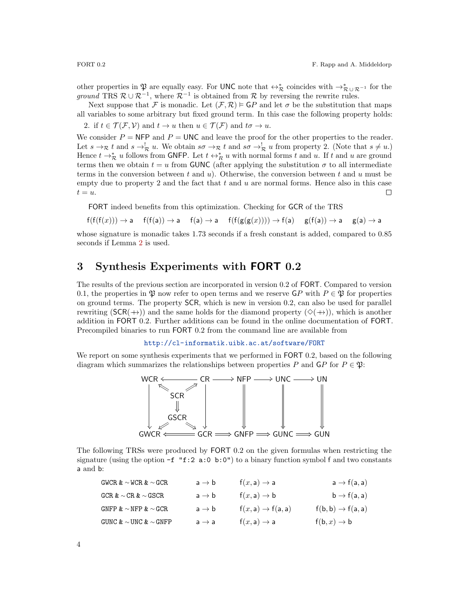other properties in  $\mathfrak{P}$  are equally easy. For UNC note that  $\leftrightarrow_{\mathcal{R}}^*$  coincides with  $\rightarrow_{\mathcal{R}\cup\mathcal{R}^{-1}}^*$  for the ground TRS  $\mathcal{R} \cup \mathcal{R}^{-1}$ , where  $\mathcal{R}^{-1}$  is obtained from  $\mathcal{R}$  by reversing the rewrite rules.

Next suppose that F is monadic. Let  $(\mathcal{F}, \mathcal{R}) \models \mathsf{G}P$  and let  $\sigma$  be the substitution that maps all variables to some arbitrary but fixed ground term. In this case the following property holds:

2. if  $t \in \mathcal{T}(\mathcal{F}, \mathcal{V})$  and  $t \to u$  then  $u \in \mathcal{T}(\mathcal{F})$  and  $t\sigma \to u$ .

We consider  $P = \text{NFP}$  and  $P = \text{UNC}$  and leave the proof for the other properties to the reader. Let  $s \to_{\mathcal{R}} t$  and  $s \to_{\mathcal{R}}^! u$ . We obtain  $s\sigma \to_{\mathcal{R}}^! t$  and  $s\sigma \to_{\mathcal{R}}^! u$  from property 2. (Note that  $s \neq u$ .) Hence  $t \to_{\mathcal{R}}^* u$  follows from GNFP. Let  $t \leftrightarrow_{R}^* u$  with normal forms t and u. If t and u are ground terms then we obtain  $t = u$  from GUNC (after applying the substitution  $\sigma$  to all intermediate terms in the conversion between t and u). Otherwise, the conversion between t and u must be empty due to property 2 and the fact that  $t$  and  $u$  are normal forms. Hence also in this case  $t = u.$  $\Box$ 

FORT indeed benefits from this optimization. Checking for GCR of the TRS

$$
\mathsf{f}(\mathsf{f}(\mathsf{f}(x))) \rightarrow \mathsf{a} \quad \mathsf{f}(\mathsf{f}(\mathsf{a})) \rightarrow \mathsf{a} \quad \mathsf{f}(\mathsf{a}) \rightarrow \mathsf{a} \quad \mathsf{f}(\mathsf{f}(\mathsf{g}(\mathsf{g}(x)))) \rightarrow \mathsf{f}(\mathsf{a}) \quad \mathsf{g}(\mathsf{f}(\mathsf{a})) \rightarrow \mathsf{a} \quad \mathsf{g}(\mathsf{a}) \rightarrow \mathsf{a}
$$

whose signature is monadic takes 1.73 seconds if a fresh constant is added, compared to 0.85 seconds if Lemma [2](#page-2-0) is used.

## <span id="page-3-0"></span>3 Synthesis Experiments with FORT 0.2

The results of the previous section are incorporated in version 0.2 of FORT. Compared to version 0.1, the properties in  $\mathfrak P$  now refer to open terms and we reserve  $\mathsf G P$  with  $P \in \mathfrak P$  for properties on ground terms. The property SCR, which is new in version 0.2, can also be used for parallel rewriting (SCR( $+\rightarrow$ )) and the same holds for the diamond property ( $\diamond$ ( $+\rightarrow$ )), which is another addition in FORT 0.2. Further additions can be found in the online documentation of FORT. Precompiled binaries to run FORT 0.2 from the command line are available from

<http://cl-informatik.uibk.ac.at/software/FORT>

We report on some synthesis experiments that we performed in FORT 0.2, based on the following diagram which summarizes the relationships between properties P and  $\mathsf{G}P$  for  $P \in \mathfrak{P}$ :



The following TRSs were produced by FORT 0.2 on the given formulas when restricting the signature (using the option  $-f$  "f:2 a:0 b:0") to a binary function symbol f and two constants a and b:

| GWCR $\& \sim$ WCR $\& \sim$ GCR  | $a \rightarrow b$ | $f(x, a) \rightarrow a$       | $a \rightarrow f(a, a)$       |
|-----------------------------------|-------------------|-------------------------------|-------------------------------|
| $GCR \& \sim CR \& \sim GSCR$     | $a \rightarrow b$ | $f(x, a) \rightarrow b$       | $b \rightarrow f(a, a)$       |
| GNFP $\∼$ NFP $\∼$ GCR            | $a \rightarrow b$ | $f(x, a) \rightarrow f(a, a)$ | $f(b, b) \rightarrow f(a, a)$ |
| GUNC $\& \sim$ UNC $\& \sim$ GNFP | $a \rightarrow a$ | $f(x, a) \rightarrow a$       | $f(b, x) \rightarrow b$       |